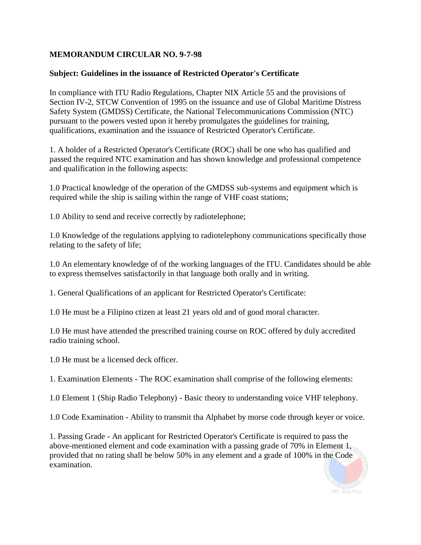## **MEMORANDUM CIRCULAR NO. 9-7-98**

## **Subject: Guidelines in the issuance of Restricted Operator's Certificate**

In compliance with ITU Radio Regulations, Chapter NIX Article 55 and the provisions of Section IV-2, STCW Convention of 1995 on the issuance and use of Global Maritime Distress Safety System (GMDSS) Certificate, the National Telecommunications Commission (NTC) pursuant to the powers vested upon it hereby promulgates the guidelines for training, qualifications, examination and the issuance of Restricted Operator's Certificate.

1. A holder of a Restricted Operator's Certificate (ROC) shall be one who has qualified and passed the required NTC examination and has shown knowledge and professional competence and qualification in the following aspects:

1.0 Practical knowledge of the operation of the GMDSS sub-systems and equipment which is required while the ship is sailing within the range of VHF coast stations;

1.0 Ability to send and receive correctly by radiotelephone;

1.0 Knowledge of the regulations applying to radiotelephony communications specifically those relating to the safety of life;

1.0 An elementary knowledge of of the working languages of the ITU. Candidates should be able to express themselves satisfactorily in that language both orally and in writing.

1. General Qualifications of an applicant for Restricted Operator's Certificate:

1.0 He must be a Filipino ctizen at least 21 years old and of good moral character.

1.0 He must have attended the prescribed training course on ROC offered by duly accredited radio training school.

1.0 He must be a licensed deck officer.

1. Examination Elements - The ROC examination shall comprise of the following elements:

1.0 Element 1 (Ship Radio Telephony) - Basic theory to understanding voice VHF telephony.

1.0 Code Examination - Ability to transmit tha Alphabet by morse code through keyer or voice.

1. Passing Grade - An applicant for Restricted Operator's Certificate is required to pass the above-mentioned element and code examination with a passing grade of 70% in Element 1, provided that no rating shall be below 50% in any element and a grade of 100% in the Code examination.